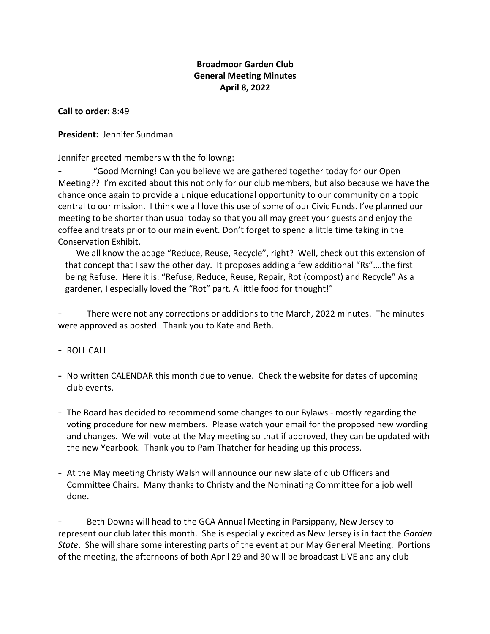### **Broadmoor Garden Club General Meeting Minutes April 8, 2022**

**Call to order:** 8:49

**President:** Jennifer Sundman

Jennifer greeted members with the followng:

"Good Morning! Can you believe we are gathered together today for our Open Meeting?? I'm excited about this not only for our club members, but also because we have the chance once again to provide a unique educational opportunity to our community on a topic central to our mission. I think we all love this use of some of our Civic Funds. I've planned our meeting to be shorter than usual today so that you all may greet your guests and enjoy the coffee and treats prior to our main event. Don't forget to spend a little time taking in the Conservation Exhibit.

We all know the adage "Reduce, Reuse, Recycle", right? Well, check out this extension of that concept that I saw the other day. It proposes adding a few additional "Rs"….the first being Refuse. Here it is: "Refuse, Reduce, Reuse, Repair, Rot (compost) and Recycle" As a gardener, I especially loved the "Rot" part. A little food for thought!"

There were not any corrections or additions to the March, 2022 minutes. The minutes were approved as posted. Thank you to Kate and Beth.

- ROLL CALL
- No written CALENDAR this month due to venue. Check the website for dates of upcoming club events.
- The Board has decided to recommend some changes to our Bylaws mostly regarding the voting procedure for new members. Please watch your email for the proposed new wording and changes. We will vote at the May meeting so that if approved, they can be updated with the new Yearbook. Thank you to Pam Thatcher for heading up this process.
- At the May meeting Christy Walsh will announce our new slate of club Officers and Committee Chairs. Many thanks to Christy and the Nominating Committee for a job well done.

Beth Downs will head to the GCA Annual Meeting in Parsippany, New Jersey to represent our club later this month. She is especially excited as New Jersey is in fact the *Garden State*. She will share some interesting parts of the event at our May General Meeting. Portions of the meeting, the afternoons of both April 29 and 30 will be broadcast LIVE and any club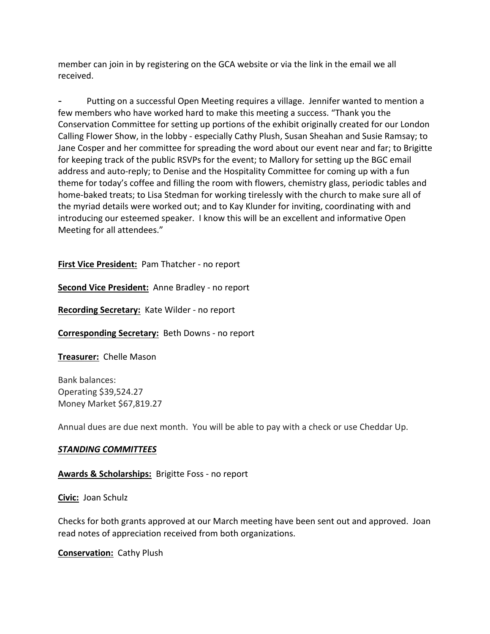member can join in by registering on the GCA website or via the link in the email we all received.

Putting on a successful Open Meeting requires a village. Jennifer wanted to mention a few members who have worked hard to make this meeting a success. "Thank you the Conservation Committee for setting up portions of the exhibit originally created for our London Calling Flower Show, in the lobby - especially Cathy Plush, Susan Sheahan and Susie Ramsay; to Jane Cosper and her committee for spreading the word about our event near and far; to Brigitte for keeping track of the public RSVPs for the event; to Mallory for setting up the BGC email address and auto-reply; to Denise and the Hospitality Committee for coming up with a fun theme for today's coffee and filling the room with flowers, chemistry glass, periodic tables and home-baked treats; to Lisa Stedman for working tirelessly with the church to make sure all of the myriad details were worked out; and to Kay Klunder for inviting, coordinating with and introducing our esteemed speaker. I know this will be an excellent and informative Open Meeting for all attendees."

### **First Vice President:** Pam Thatcher - no report

**Second Vice President:** Anne Bradley - no report

**Recording Secretary:** Kate Wilder - no report

**Corresponding Secretary:** Beth Downs - no report

**Treasurer:** Chelle Mason

Bank balances: Operating \$39,524.27 Money Market \$67,819.27

Annual dues are due next month. You will be able to pay with a check or use Cheddar Up.

#### *STANDING COMMITTEES*

**Awards & Scholarships:** Brigitte Foss - no report

**Civic:** Joan Schulz

Checks for both grants approved at our March meeting have been sent out and approved. Joan read notes of appreciation received from both organizations.

**Conservation:** Cathy Plush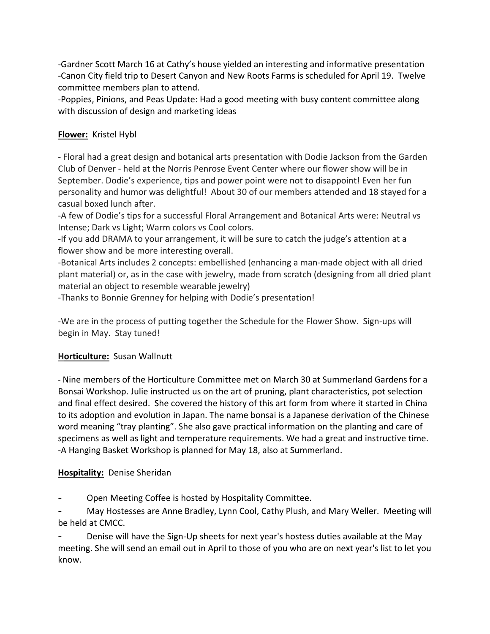-Gardner Scott March 16 at Cathy's house yielded an interesting and informative presentation -Canon City field trip to Desert Canyon and New Roots Farms is scheduled for April 19. Twelve committee members plan to attend.

-Poppies, Pinions, and Peas Update: Had a good meeting with busy content committee along with discussion of design and marketing ideas

# **Flower:** Kristel Hybl

- Floral had a great design and botanical arts presentation with Dodie Jackson from the Garden Club of Denver - held at the Norris Penrose Event Center where our flower show will be in September. Dodie's experience, tips and power point were not to disappoint! Even her fun personality and humor was delightful! About 30 of our members attended and 18 stayed for a casual boxed lunch after.

-A few of Dodie's tips for a successful Floral Arrangement and Botanical Arts were: Neutral vs Intense; Dark vs Light; Warm colors vs Cool colors.

-If you add DRAMA to your arrangement, it will be sure to catch the judge's attention at a flower show and be more interesting overall.

-Botanical Arts includes 2 concepts: embellished (enhancing a man-made object with all dried plant material) or, as in the case with jewelry, made from scratch (designing from all dried plant material an object to resemble wearable jewelry)

-Thanks to Bonnie Grenney for helping with Dodie's presentation!

-We are in the process of putting together the Schedule for the Flower Show. Sign-ups will begin in May. Stay tuned!

# **Horticulture:** Susan Wallnutt

- Nine members of the Horticulture Committee met on March 30 at Summerland Gardens for a Bonsai Workshop. Julie instructed us on the art of pruning, plant characteristics, pot selection and final effect desired. She covered the history of this art form from where it started in China to its adoption and evolution in Japan. The name bonsai is a Japanese derivation of the Chinese word meaning "tray planting". She also gave practical information on the planting and care of specimens as well as light and temperature requirements. We had a great and instructive time. -A Hanging Basket Workshop is planned for May 18, also at Summerland.

# **Hospitality:** Denise Sheridan

Open Meeting Coffee is hosted by Hospitality Committee.

- May Hostesses are Anne Bradley, Lynn Cool, Cathy Plush, and Mary Weller. Meeting will be held at CMCC.

Denise will have the Sign-Up sheets for next year's hostess duties available at the May meeting. She will send an email out in April to those of you who are on next year's list to let you know.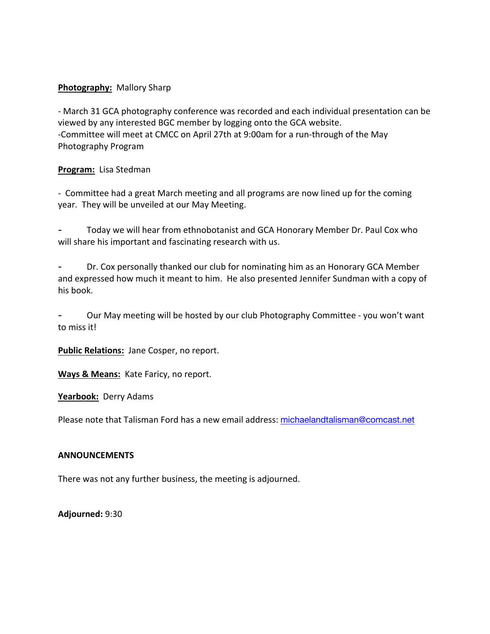### **Photography:** Mallory Sharp

- March 31 GCA photography conference was recorded and each individual presentation can be viewed by any interested BGC member by logging onto the GCA website. -Committee will meet at CMCC on April 27th at 9:00am for a run-through of the May Photography Program

### **Program:** Lisa Stedman

- Committee had a great March meeting and all programs are now lined up for the coming year. They will be unveiled at our May Meeting.

- Today we will hear from ethnobotanist and GCA Honorary Member Dr. Paul Cox who will share his important and fascinating research with us.

Dr. Cox personally thanked our club for nominating him as an Honorary GCA Member and expressed how much it meant to him. He also presented Jennifer Sundman with a copy of his book.

Our May meeting will be hosted by our club Photography Committee - you won't want to miss it!

**Public Relations:** Jane Cosper, no report.

**Ways & Means:** Kate Faricy, no report.

**Yearbook:** Derry Adams

Please note that Talisman Ford has a new email address: michaelandtalisman@comcast.net

#### **ANNOUNCEMENTS**

There was not any further business, the meeting is adjourned.

**Adjourned:** 9:30